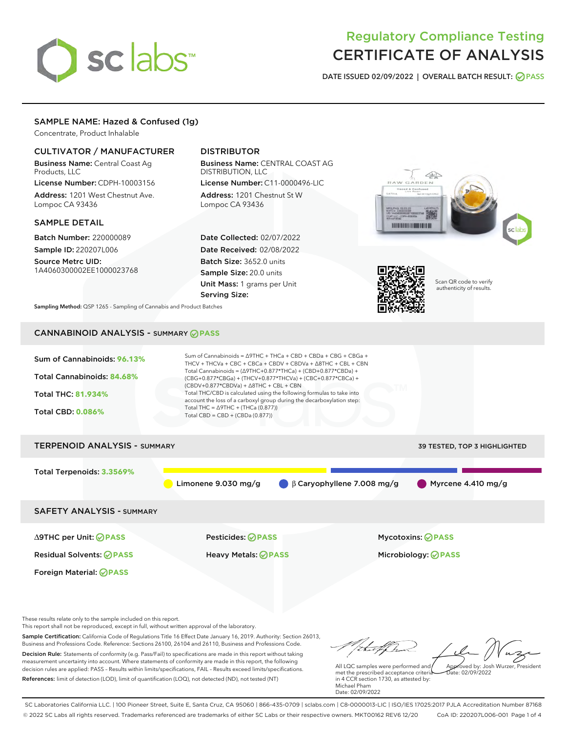# sclabs<sup>\*</sup>

# Regulatory Compliance Testing CERTIFICATE OF ANALYSIS

DATE ISSUED 02/09/2022 | OVERALL BATCH RESULT: @ PASS

# SAMPLE NAME: Hazed & Confused (1g)

Concentrate, Product Inhalable

# CULTIVATOR / MANUFACTURER

Business Name: Central Coast Ag Products, LLC

License Number: CDPH-10003156 Address: 1201 West Chestnut Ave. Lompoc CA 93436

#### SAMPLE DETAIL

Batch Number: 220000089 Sample ID: 220207L006

Source Metrc UID: 1A4060300002EE1000023768

# DISTRIBUTOR

Business Name: CENTRAL COAST AG DISTRIBUTION, LLC License Number: C11-0000496-LIC

Address: 1201 Chestnut St W Lompoc CA 93436

Date Collected: 02/07/2022 Date Received: 02/08/2022 Batch Size: 3652.0 units Sample Size: 20.0 units Unit Mass: 1 grams per Unit Serving Size:





Scan QR code to verify authenticity of results.

Sampling Method: QSP 1265 - Sampling of Cannabis and Product Batches

# CANNABINOID ANALYSIS - SUMMARY **PASS**



These results relate only to the sample included on this report.

Foreign Material: **PASS**

This report shall not be reproduced, except in full, without written approval of the laboratory.

Sample Certification: California Code of Regulations Title 16 Effect Date January 16, 2019. Authority: Section 26013, Business and Professions Code. Reference: Sections 26100, 26104 and 26110, Business and Professions Code. Decision Rule: Statements of conformity (e.g. Pass/Fail) to specifications are made in this report without taking measurement uncertainty into account. Where statements of conformity are made in this report, the following decision rules are applied: PASS – Results within limits/specifications, FAIL – Results exceed limits/specifications.

References: limit of detection (LOD), limit of quantification (LOQ), not detected (ND), not tested (NT)

Approved by: Josh Wurzer, President

 $\frac{1}{2}$  02/09/2022

All LQC samples were performed and met the prescribed acceptance criteria in 4 CCR section 1730, as attested by: Michael Pham Date: 02/09/2022

SC Laboratories California LLC. | 100 Pioneer Street, Suite E, Santa Cruz, CA 95060 | 866-435-0709 | sclabs.com | C8-0000013-LIC | ISO/IES 17025:2017 PJLA Accreditation Number 87168 © 2022 SC Labs all rights reserved. Trademarks referenced are trademarks of either SC Labs or their respective owners. MKT00162 REV6 12/20 CoA ID: 220207L006-001 Page 1 of 4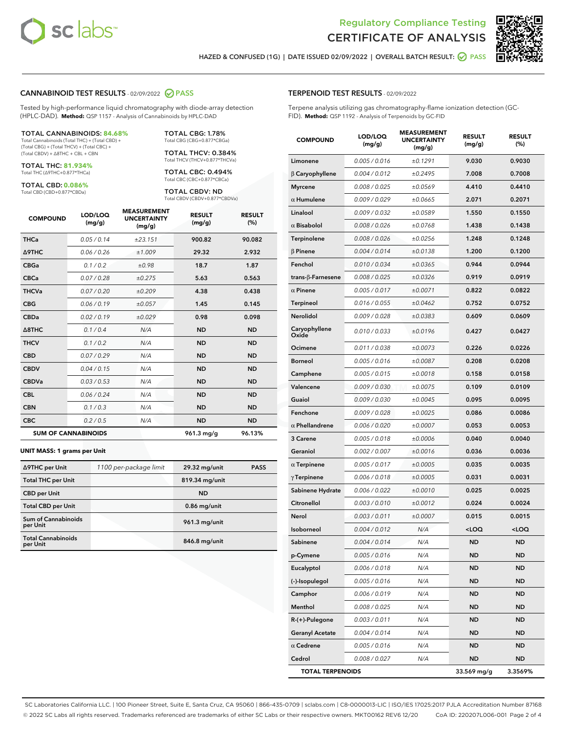



HAZED & CONFUSED (1G) | DATE ISSUED 02/09/2022 | OVERALL BATCH RESULT: @ PASS

#### CANNABINOID TEST RESULTS - 02/09/2022 2 PASS

Tested by high-performance liquid chromatography with diode-array detection (HPLC-DAD). **Method:** QSP 1157 - Analysis of Cannabinoids by HPLC-DAD

#### TOTAL CANNABINOIDS: **84.68%**

Total Cannabinoids (Total THC) + (Total CBD) + (Total CBG) + (Total THCV) + (Total CBC) + (Total CBDV) + ∆8THC + CBL + CBN

TOTAL THC: **81.934%** Total THC (∆9THC+0.877\*THCa)

TOTAL CBD: **0.086%**

Total CBD (CBD+0.877\*CBDa)

TOTAL CBG: 1.78% Total CBG (CBG+0.877\*CBGa)

TOTAL THCV: 0.384% Total THCV (THCV+0.877\*THCVa)

TOTAL CBC: 0.494% Total CBC (CBC+0.877\*CBCa)

TOTAL CBDV: ND Total CBDV (CBDV+0.877\*CBDVa)

| <b>COMPOUND</b>            | LOD/LOQ<br>(mg/g) | <b>MEASUREMENT</b><br><b>UNCERTAINTY</b><br>(mg/g) | <b>RESULT</b><br>(mg/g) | <b>RESULT</b><br>(%) |
|----------------------------|-------------------|----------------------------------------------------|-------------------------|----------------------|
| <b>THCa</b>                | 0.05/0.14         | ±23.151                                            | 900.82                  | 90.082               |
| <b>A9THC</b>               | 0.06 / 0.26       | ±1.009                                             | 29.32                   | 2.932                |
| <b>CBGa</b>                | 0.1 / 0.2         | ±0.98                                              | 18.7                    | 1.87                 |
| <b>CBCa</b>                | 0.07/0.28         | ±0.275                                             | 5.63                    | 0.563                |
| <b>THCVa</b>               | 0.07 / 0.20       | ±0.209                                             | 4.38                    | 0.438                |
| <b>CBG</b>                 | 0.06/0.19         | ±0.057                                             | 1.45                    | 0.145                |
| <b>CBDa</b>                | 0.02/0.19         | ±0.029                                             | 0.98                    | 0.098                |
| $\triangle$ 8THC           | 0.1 / 0.4         | N/A                                                | <b>ND</b>               | <b>ND</b>            |
| <b>THCV</b>                | 0.1/0.2           | N/A                                                | <b>ND</b>               | <b>ND</b>            |
| <b>CBD</b>                 | 0.07/0.29         | N/A                                                | <b>ND</b>               | <b>ND</b>            |
| <b>CBDV</b>                | 0.04 / 0.15       | N/A                                                | <b>ND</b>               | <b>ND</b>            |
| <b>CBDVa</b>               | 0.03 / 0.53       | N/A                                                | <b>ND</b>               | <b>ND</b>            |
| <b>CBL</b>                 | 0.06 / 0.24       | N/A                                                | <b>ND</b>               | <b>ND</b>            |
| <b>CBN</b>                 | 0.1/0.3           | N/A                                                | <b>ND</b>               | <b>ND</b>            |
| <b>CBC</b>                 | 0.2 / 0.5         | N/A                                                | <b>ND</b>               | <b>ND</b>            |
| <b>SUM OF CANNABINOIDS</b> |                   |                                                    | 961.3 mg/g              | 96.13%               |

#### **UNIT MASS: 1 grams per Unit**

| ∆9THC per Unit                        | 1100 per-package limit | 29.32 mg/unit  | <b>PASS</b> |
|---------------------------------------|------------------------|----------------|-------------|
| <b>Total THC per Unit</b>             |                        | 819.34 mg/unit |             |
| <b>CBD per Unit</b>                   |                        | <b>ND</b>      |             |
| <b>Total CBD per Unit</b>             |                        | $0.86$ mg/unit |             |
| Sum of Cannabinoids<br>per Unit       |                        | 961.3 mg/unit  |             |
| <b>Total Cannabinoids</b><br>per Unit |                        | 846.8 mg/unit  |             |

| <b>COMPOUND</b>           | <b>LOD/LOQ</b><br>(mg/g) | <b>UNCERTAINTY</b><br>(mg/g) | <b>RESULT</b><br>(mg/g)                         | <b>RESULT</b><br>(%) |
|---------------------------|--------------------------|------------------------------|-------------------------------------------------|----------------------|
| Limonene                  | 0.005 / 0.016            | ±0.1291                      | 9.030                                           | 0.9030               |
| $\beta$ Caryophyllene     | 0.004 / 0.012            | ±0.2495                      | 7.008                                           | 0.7008               |
| <b>Myrcene</b>            | 0.008 / 0.025            | ±0.0569                      | 4.410                                           | 0.4410               |
| $\alpha$ Humulene         | 0.009/0.029              | ±0.0665                      | 2.071                                           | 0.2071               |
| Linalool                  | 0.009 / 0.032            | ±0.0589                      | 1.550                                           | 0.1550               |
| $\alpha$ Bisabolol        | 0.008 / 0.026            | ±0.0768                      | 1.438                                           | 0.1438               |
| Terpinolene               | 0.008 / 0.026            | ±0.0256                      | 1.248                                           | 0.1248               |
| $\beta$ Pinene            | 0.004 / 0.014            | ±0.0138                      | 1.200                                           | 0.1200               |
| Fenchol                   | 0.010 / 0.034            | ±0.0365                      | 0.944                                           | 0.0944               |
| trans- $\beta$ -Farnesene | 0.008 / 0.025            | ±0.0326                      | 0.919                                           | 0.0919               |
| $\alpha$ Pinene           | 0.005 / 0.017            | ±0.0071                      | 0.822                                           | 0.0822               |
| Terpineol                 | 0.016 / 0.055            | ±0.0462                      | 0.752                                           | 0.0752               |
| Nerolidol                 | 0.009 / 0.028            | ±0.0383                      | 0.609                                           | 0.0609               |
| Caryophyllene<br>Oxide    | 0.010 / 0.033            | ±0.0196                      | 0.427                                           | 0.0427               |
| Ocimene                   | 0.011 / 0.038            | ±0.0073                      | 0.226                                           | 0.0226               |
| <b>Borneol</b>            | 0.005 / 0.016            | ±0.0087                      | 0.208                                           | 0.0208               |
| Camphene                  | 0.005 / 0.015            | ±0.0018                      | 0.158                                           | 0.0158               |
| Valencene                 | 0.009 / 0.030            | ±0.0075                      | 0.109                                           | 0.0109               |
| Guaiol                    | 0.009 / 0.030            | ±0.0045                      | 0.095                                           | 0.0095               |
| Fenchone                  | 0.009 / 0.028            | ±0.0025                      | 0.086                                           | 0.0086               |
| $\alpha$ Phellandrene     | 0.006 / 0.020            | ±0.0007                      | 0.053                                           | 0.0053               |
| 3 Carene                  | 0.005 / 0.018            | ±0.0006                      | 0.040                                           | 0.0040               |
| Geraniol                  | 0.002 / 0.007            | ±0.0016                      | 0.036                                           | 0.0036               |
| $\alpha$ Terpinene        | 0.005 / 0.017            | ±0.0005                      | 0.035                                           | 0.0035               |
| $\gamma$ Terpinene        | 0.006 / 0.018            | ±0.0005                      | 0.031                                           | 0.0031               |
| Sabinene Hydrate          | 0.006 / 0.022            | ±0.0010                      | 0.025                                           | 0.0025               |
| Citronellol               | 0.003 / 0.010            | ±0.0012                      | 0.024                                           | 0.0024               |
| Nerol                     | 0.003 / 0.011            | ±0.0007                      | 0.015                                           | 0.0015               |
| Isoborneol                | 0.004 / 0.012            | N/A                          | <loq< th=""><th><loq< th=""></loq<></th></loq<> | <loq< th=""></loq<>  |
| Sabinene                  | 0.004 / 0.014            | N/A                          | <b>ND</b>                                       | <b>ND</b>            |
| p-Cymene                  | 0.005 / 0.016            | N/A                          | ND                                              | ND                   |
| Eucalyptol                | 0.006 / 0.018            | N/A                          | ND                                              | ND                   |
| (-)-Isopulegol            | 0.005 / 0.016            | N/A                          | <b>ND</b>                                       | ND                   |
| Camphor                   | 0.006 / 0.019            | N/A                          | <b>ND</b>                                       | ND                   |
| Menthol                   | 0.008 / 0.025            | N/A                          | ND                                              | ND                   |
| $R-(+)$ -Pulegone         | 0.003 / 0.011            | N/A                          | <b>ND</b>                                       | ND                   |
| <b>Geranyl Acetate</b>    | 0.004 / 0.014            | N/A                          | <b>ND</b>                                       | ND                   |
| $\alpha$ Cedrene          | 0.005 / 0.016            | N/A                          | ND                                              | ND                   |
| Cedrol                    | 0.008 / 0.027            | N/A                          | <b>ND</b>                                       | ND                   |
| <b>TOTAL TERPENOIDS</b>   |                          |                              | 33.569 mg/g                                     | 3.3569%              |

SC Laboratories California LLC. | 100 Pioneer Street, Suite E, Santa Cruz, CA 95060 | 866-435-0709 | sclabs.com | C8-0000013-LIC | ISO/IES 17025:2017 PJLA Accreditation Number 87168 © 2022 SC Labs all rights reserved. Trademarks referenced are trademarks of either SC Labs or their respective owners. MKT00162 REV6 12/20 CoA ID: 220207L006-001 Page 2 of 4

# TERPENOID TEST RESULTS - 02/09/2022

Terpene analysis utilizing gas chromatography-flame ionization detection (GC-FID). **Method:** QSP 1192 - Analysis of Terpenoids by GC-FID

MEASUREMENT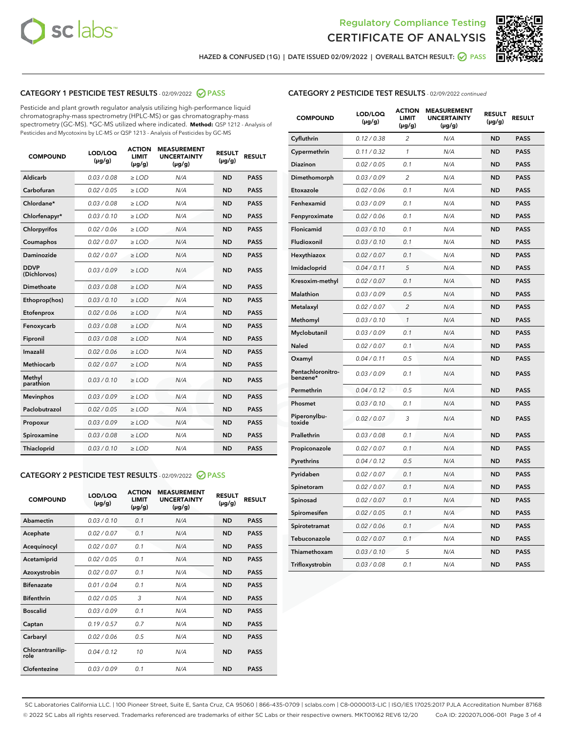



HAZED & CONFUSED (1G) | DATE ISSUED 02/09/2022 | OVERALL BATCH RESULT: @ PASS

# CATEGORY 1 PESTICIDE TEST RESULTS - 02/09/2022 2 PASS

Pesticide and plant growth regulator analysis utilizing high-performance liquid chromatography-mass spectrometry (HPLC-MS) or gas chromatography-mass spectrometry (GC-MS). \*GC-MS utilized where indicated. **Method:** QSP 1212 - Analysis of Pesticides and Mycotoxins by LC-MS or QSP 1213 - Analysis of Pesticides by GC-MS

| <b>COMPOUND</b>             | LOD/LOQ<br>$(\mu g/g)$ | <b>ACTION</b><br><b>LIMIT</b><br>$(\mu g/g)$ | <b>MEASUREMENT</b><br><b>UNCERTAINTY</b><br>$(\mu g/g)$ | <b>RESULT</b><br>$(\mu g/g)$ | <b>RESULT</b> |
|-----------------------------|------------------------|----------------------------------------------|---------------------------------------------------------|------------------------------|---------------|
| Aldicarb                    | 0.03 / 0.08            | $\geq$ LOD                                   | N/A                                                     | <b>ND</b>                    | <b>PASS</b>   |
| Carbofuran                  | 0.02/0.05              | $>$ LOD                                      | N/A                                                     | <b>ND</b>                    | <b>PASS</b>   |
| Chlordane*                  | 0.03 / 0.08            | $\ge$ LOD                                    | N/A                                                     | <b>ND</b>                    | <b>PASS</b>   |
| Chlorfenapyr*               | 0.03/0.10              | $>$ LOD                                      | N/A                                                     | <b>ND</b>                    | <b>PASS</b>   |
| Chlorpyrifos                | 0.02 / 0.06            | $\ge$ LOD                                    | N/A                                                     | <b>ND</b>                    | <b>PASS</b>   |
| Coumaphos                   | 0.02 / 0.07            | $\ge$ LOD                                    | N/A                                                     | <b>ND</b>                    | <b>PASS</b>   |
| Daminozide                  | 0.02 / 0.07            | $\ge$ LOD                                    | N/A                                                     | <b>ND</b>                    | <b>PASS</b>   |
| <b>DDVP</b><br>(Dichlorvos) | 0.03/0.09              | $\ge$ LOD                                    | N/A                                                     | <b>ND</b>                    | <b>PASS</b>   |
| Dimethoate                  | 0.03/0.08              | $>$ LOD                                      | N/A                                                     | <b>ND</b>                    | <b>PASS</b>   |
| Ethoprop(hos)               | 0.03/0.10              | $\ge$ LOD                                    | N/A                                                     | <b>ND</b>                    | <b>PASS</b>   |
| Etofenprox                  | 0.02 / 0.06            | $\ge$ LOD                                    | N/A                                                     | <b>ND</b>                    | <b>PASS</b>   |
| Fenoxycarb                  | 0.03 / 0.08            | $\ge$ LOD                                    | N/A                                                     | <b>ND</b>                    | <b>PASS</b>   |
| Fipronil                    | 0.03/0.08              | $>$ LOD                                      | N/A                                                     | <b>ND</b>                    | <b>PASS</b>   |
| Imazalil                    | 0.02 / 0.06            | $\ge$ LOD                                    | N/A                                                     | <b>ND</b>                    | <b>PASS</b>   |
| <b>Methiocarb</b>           | 0.02 / 0.07            | $\ge$ LOD                                    | N/A                                                     | <b>ND</b>                    | <b>PASS</b>   |
| Methyl<br>parathion         | 0.03/0.10              | $\ge$ LOD                                    | N/A                                                     | <b>ND</b>                    | <b>PASS</b>   |
| <b>Mevinphos</b>            | 0.03/0.09              | $>$ LOD                                      | N/A                                                     | <b>ND</b>                    | <b>PASS</b>   |
| Paclobutrazol               | 0.02 / 0.05            | $\ge$ LOD                                    | N/A                                                     | <b>ND</b>                    | <b>PASS</b>   |
| Propoxur                    | 0.03/0.09              | $\ge$ LOD                                    | N/A                                                     | <b>ND</b>                    | <b>PASS</b>   |
| Spiroxamine                 | 0.03 / 0.08            | $\ge$ LOD                                    | N/A                                                     | <b>ND</b>                    | <b>PASS</b>   |
| Thiacloprid                 | 0.03/0.10              | $\ge$ LOD                                    | N/A                                                     | <b>ND</b>                    | <b>PASS</b>   |

#### CATEGORY 2 PESTICIDE TEST RESULTS - 02/09/2022 2 PASS

| <b>COMPOUND</b>          | LOD/LOO<br>$(\mu g/g)$ | <b>ACTION</b><br>LIMIT<br>$(\mu g/g)$ | <b>MEASUREMENT</b><br><b>UNCERTAINTY</b><br>$(\mu g/g)$ | <b>RESULT</b><br>$(\mu g/g)$ | <b>RESULT</b> |  |
|--------------------------|------------------------|---------------------------------------|---------------------------------------------------------|------------------------------|---------------|--|
| Abamectin                | 0.03/0.10              | 0.1                                   | N/A                                                     | <b>ND</b>                    | <b>PASS</b>   |  |
| Acephate                 | 0.02/0.07              | 0.1                                   | N/A                                                     | <b>ND</b>                    | <b>PASS</b>   |  |
| Acequinocyl              | 0.02/0.07              | 0.1                                   | N/A                                                     | <b>ND</b>                    | <b>PASS</b>   |  |
| Acetamiprid              | 0.02 / 0.05            | 0.1                                   | N/A                                                     | <b>ND</b>                    | <b>PASS</b>   |  |
| Azoxystrobin             | 0.02/0.07              | 0.1                                   | N/A                                                     | <b>ND</b>                    | <b>PASS</b>   |  |
| <b>Bifenazate</b>        | 0.01 / 0.04            | 0.1                                   | N/A                                                     | <b>ND</b>                    | <b>PASS</b>   |  |
| <b>Bifenthrin</b>        | 0.02 / 0.05            | 3                                     | N/A                                                     | <b>ND</b>                    | <b>PASS</b>   |  |
| <b>Boscalid</b>          | 0.03/0.09              | 0.1                                   | N/A                                                     | <b>ND</b>                    | <b>PASS</b>   |  |
| Captan                   | 0.19/0.57              | 0.7                                   | N/A                                                     | <b>ND</b>                    | <b>PASS</b>   |  |
| Carbaryl                 | 0.02/0.06              | 0.5                                   | N/A                                                     | <b>ND</b>                    | <b>PASS</b>   |  |
| Chlorantranilip-<br>role | 0.04/0.12              | 10                                    | N/A                                                     | <b>ND</b>                    | <b>PASS</b>   |  |
| Clofentezine             | 0.03/0.09              | 0.1                                   | N/A                                                     | <b>ND</b>                    | <b>PASS</b>   |  |

#### CATEGORY 2 PESTICIDE TEST RESULTS - 02/09/2022 continued

| <b>COMPOUND</b>               | LOD/LOQ<br>(µg/g) | <b>ACTION</b><br><b>LIMIT</b><br>$(\mu g/g)$ | <b>MEASUREMENT</b><br><b>UNCERTAINTY</b><br>$(\mu g/g)$ | <b>RESULT</b><br>(µg/g) | <b>RESULT</b> |
|-------------------------------|-------------------|----------------------------------------------|---------------------------------------------------------|-------------------------|---------------|
| Cyfluthrin                    | 0.12 / 0.38       | $\overline{c}$                               | N/A                                                     | <b>ND</b>               | <b>PASS</b>   |
| Cypermethrin                  | 0.11 / 0.32       | 1                                            | N/A                                                     | ND                      | <b>PASS</b>   |
| <b>Diazinon</b>               | 0.02 / 0.05       | 0.1                                          | N/A                                                     | ND                      | <b>PASS</b>   |
| Dimethomorph                  | 0.03 / 0.09       | 2                                            | N/A                                                     | ND                      | PASS          |
| Etoxazole                     | 0.02 / 0.06       | 0.1                                          | N/A                                                     | ND                      | <b>PASS</b>   |
| Fenhexamid                    | 0.03 / 0.09       | 0.1                                          | N/A                                                     | <b>ND</b>               | <b>PASS</b>   |
| Fenpyroximate                 | 0.02 / 0.06       | 0.1                                          | N/A                                                     | ND                      | <b>PASS</b>   |
| Flonicamid                    | 0.03 / 0.10       | 0.1                                          | N/A                                                     | ND                      | <b>PASS</b>   |
| Fludioxonil                   | 0.03 / 0.10       | 0.1                                          | N/A                                                     | <b>ND</b>               | <b>PASS</b>   |
| Hexythiazox                   | 0.02 / 0.07       | 0.1                                          | N/A                                                     | <b>ND</b>               | <b>PASS</b>   |
| Imidacloprid                  | 0.04 / 0.11       | 5                                            | N/A                                                     | ND                      | <b>PASS</b>   |
| Kresoxim-methyl               | 0.02 / 0.07       | 0.1                                          | N/A                                                     | <b>ND</b>               | <b>PASS</b>   |
| <b>Malathion</b>              | 0.03 / 0.09       | 0.5                                          | N/A                                                     | <b>ND</b>               | <b>PASS</b>   |
| Metalaxyl                     | 0.02 / 0.07       | $\overline{c}$                               | N/A                                                     | ND                      | <b>PASS</b>   |
| Methomyl                      | 0.03 / 0.10       | 1                                            | N/A                                                     | <b>ND</b>               | <b>PASS</b>   |
| Myclobutanil                  | 0.03 / 0.09       | 0.1                                          | N/A                                                     | ND                      | <b>PASS</b>   |
| Naled                         | 0.02 / 0.07       | 0.1                                          | N/A                                                     | ND                      | <b>PASS</b>   |
| Oxamyl                        | 0.04 / 0.11       | 0.5                                          | N/A                                                     | ND                      | PASS          |
| Pentachloronitro-<br>benzene* | 0.03 / 0.09       | 0.1                                          | N/A                                                     | ND                      | <b>PASS</b>   |
| Permethrin                    | 0.04 / 0.12       | 0.5                                          | N/A                                                     | ND                      | <b>PASS</b>   |
| Phosmet                       | 0.03 / 0.10       | 0.1                                          | N/A                                                     | <b>ND</b>               | <b>PASS</b>   |
| Piperonylbu-<br>toxide        | 0.02 / 0.07       | 3                                            | N/A                                                     | ND                      | <b>PASS</b>   |
| Prallethrin                   | 0.03 / 0.08       | 0.1                                          | N/A                                                     | <b>ND</b>               | <b>PASS</b>   |
| Propiconazole                 | 0.02 / 0.07       | 0.1                                          | N/A                                                     | ND                      | <b>PASS</b>   |
| Pyrethrins                    | 0.04 / 0.12       | 0.5                                          | N/A                                                     | ND                      | <b>PASS</b>   |
| Pyridaben                     | 0.02 / 0.07       | 0.1                                          | N/A                                                     | ND                      | <b>PASS</b>   |
| Spinetoram                    | 0.02 / 0.07       | 0.1                                          | N/A                                                     | <b>ND</b>               | PASS          |
| Spinosad                      | 0.02 / 0.07       | 0.1                                          | N/A                                                     | ND                      | <b>PASS</b>   |
| Spiromesifen                  | 0.02 / 0.05       | 0.1                                          | N/A                                                     | <b>ND</b>               | <b>PASS</b>   |
| Spirotetramat                 | 0.02 / 0.06       | 0.1                                          | N/A                                                     | ND                      | <b>PASS</b>   |
| Tebuconazole                  | 0.02 / 0.07       | 0.1                                          | N/A                                                     | ND                      | <b>PASS</b>   |
| Thiamethoxam                  | 0.03 / 0.10       | 5                                            | N/A                                                     | <b>ND</b>               | <b>PASS</b>   |
| Trifloxystrobin               | 0.03 / 0.08       | 0.1                                          | N/A                                                     | <b>ND</b>               | <b>PASS</b>   |

SC Laboratories California LLC. | 100 Pioneer Street, Suite E, Santa Cruz, CA 95060 | 866-435-0709 | sclabs.com | C8-0000013-LIC | ISO/IES 17025:2017 PJLA Accreditation Number 87168 © 2022 SC Labs all rights reserved. Trademarks referenced are trademarks of either SC Labs or their respective owners. MKT00162 REV6 12/20 CoA ID: 220207L006-001 Page 3 of 4